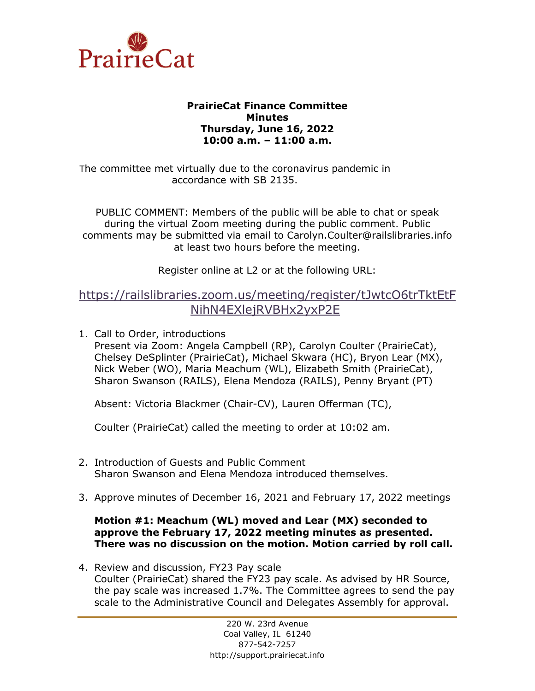

## **PrairieCat Finance Committee Minutes Thursday, June 16, 2022 10:00 a.m. – 11:00 a.m.**

The committee met virtually due to the coronavirus pandemic in accordance with SB 2135.

PUBLIC COMMENT: Members of the public will be able to chat or speak during the virtual Zoom meeting during the public comment. Public comments may be submitted via email to Carolyn.Coulter@railslibraries.info at least two hours before the meeting.

Register online at L2 or at the following URL:

## [https://railslibraries.zoom.us/meeting/register/tJwtcO6trTktEtF](https://railslibraries.zoom.us/meeting/register/tJwtcO6trTktEtFNihN4EXlejRVBHx2yxP2E) [NihN4EXlejRVBHx2yxP2E](https://railslibraries.zoom.us/meeting/register/tJwtcO6trTktEtFNihN4EXlejRVBHx2yxP2E)

1. Call to Order, introductions

Present via Zoom: Angela Campbell (RP), Carolyn Coulter (PrairieCat), Chelsey DeSplinter (PrairieCat), Michael Skwara (HC), Bryon Lear (MX), Nick Weber (WO), Maria Meachum (WL), Elizabeth Smith (PrairieCat), Sharon Swanson (RAILS), Elena Mendoza (RAILS), Penny Bryant (PT)

Absent: Victoria Blackmer (Chair-CV), Lauren Offerman (TC),

Coulter (PrairieCat) called the meeting to order at 10:02 am.

- 2. Introduction of Guests and Public Comment Sharon Swanson and Elena Mendoza introduced themselves.
- 3. Approve minutes of December 16, 2021 and February 17, 2022 meetings

## **Motion #1: Meachum (WL) moved and Lear (MX) seconded to approve the February 17, 2022 meeting minutes as presented. There was no discussion on the motion. Motion carried by roll call.**

4. Review and discussion, FY23 Pay scale Coulter (PrairieCat) shared the FY23 pay scale. As advised by HR Source, the pay scale was increased 1.7%. The Committee agrees to send the pay scale to the Administrative Council and Delegates Assembly for approval.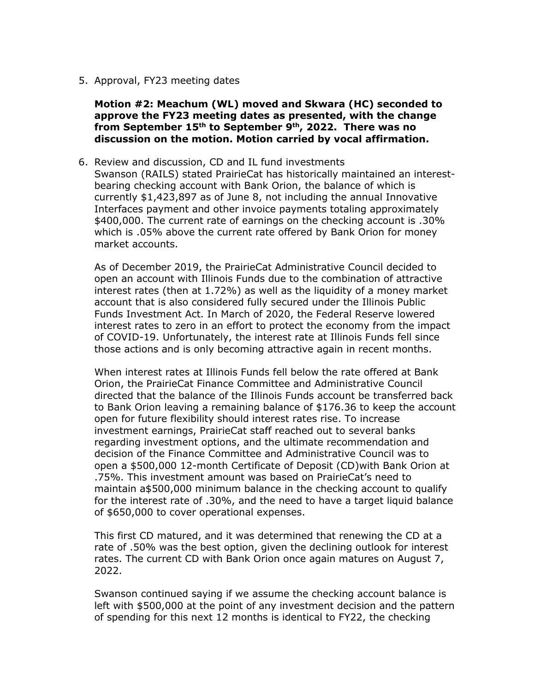5. Approval, FY23 meeting dates

**Motion #2: Meachum (WL) moved and Skwara (HC) seconded to approve the FY23 meeting dates as presented, with the change from September 15th to September 9th, 2022. There was no discussion on the motion. Motion carried by vocal affirmation.**

6. Review and discussion, CD and IL fund investments Swanson (RAILS) stated PrairieCat has historically maintained an interestbearing checking account with Bank Orion, the balance of which is currently \$1,423,897 as of June 8, not including the annual Innovative Interfaces payment and other invoice payments totaling approximately \$400,000. The current rate of earnings on the checking account is .30% which is .05% above the current rate offered by Bank Orion for money market accounts.

As of December 2019, the PrairieCat Administrative Council decided to open an account with Illinois Funds due to the combination of attractive interest rates (then at 1.72%) as well as the liquidity of a money market account that is also considered fully secured under the Illinois Public Funds Investment Act. In March of 2020, the Federal Reserve lowered interest rates to zero in an effort to protect the economy from the impact of COVID-19. Unfortunately, the interest rate at Illinois Funds fell since those actions and is only becoming attractive again in recent months.

When interest rates at Illinois Funds fell below the rate offered at Bank Orion, the PrairieCat Finance Committee and Administrative Council directed that the balance of the Illinois Funds account be transferred back to Bank Orion leaving a remaining balance of \$176.36 to keep the account open for future flexibility should interest rates rise. To increase investment earnings, PrairieCat staff reached out to several banks regarding investment options, and the ultimate recommendation and decision of the Finance Committee and Administrative Council was to open a \$500,000 12-month Certificate of Deposit (CD)with Bank Orion at .75%. This investment amount was based on PrairieCat's need to maintain a\$500,000 minimum balance in the checking account to qualify for the interest rate of .30%, and the need to have a target liquid balance of \$650,000 to cover operational expenses.

This first CD matured, and it was determined that renewing the CD at a rate of .50% was the best option, given the declining outlook for interest rates. The current CD with Bank Orion once again matures on August 7, 2022.

Swanson continued saying if we assume the checking account balance is left with \$500,000 at the point of any investment decision and the pattern of spending for this next 12 months is identical to FY22, the checking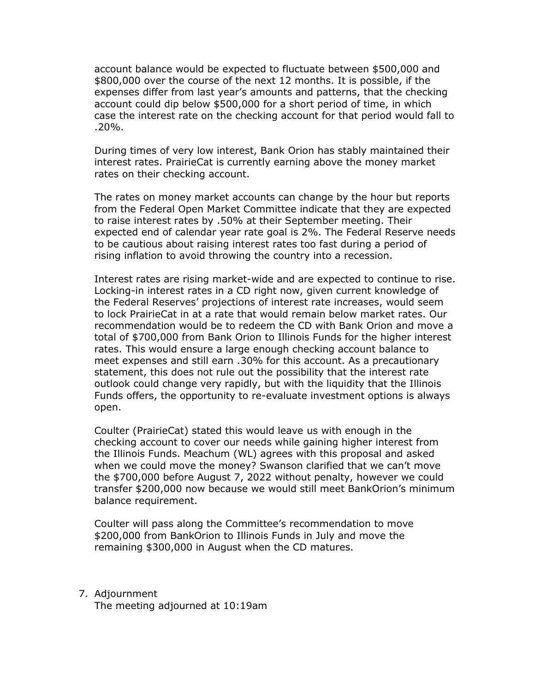account balance would be expected to fluctuate between \$500,000 and \$800,000 over the course of the next 12 months. It is possible, if the expenses differ from last year's amounts and patterns, that the checking account could dip below \$500,000 for a short period of time, in which case the interest rate on the checking account for that period would fall to .20%.

During times of very low interest, Bank Orion has stably maintained their interest rates. PrairieCat is currently earning above the money market rates on their checking account.

The rates on money market accounts can change by the hour but reports from the Federal Open Market Committee indicate that they are expected to raise interest rates by .50% at their September meeting. Their expected end of calendar year rate goal is 2%. The Federal Reserve needs to be cautious about raising interest rates too fast during a period of rising inflation to avoid throwing the country into a recession.

Interest rates are rising market-wide and are expected to continue to rise. Locking-in interest rates in a CD right now, given current knowledge of the Federal Reserves' projections of interest rate increases, would seem to lock PrairieCat in at a rate that would remain below market rates. Our recommendation would be to redeem the CD with Bank Orion and move a total of \$700,000 from Bank Orion to Illinois Funds for the higher interest rates. This would ensure a large enough checking account balance to meet expenses and still earn .30% for this account. As a precautionary statement, this does not rule out the possibility that the interest rate outlook could change very rapidly, but with the liquidity that the Illinois Funds offers, the opportunity to re-evaluate investment options is always open.

Coulter (PrairieCat) stated this would leave us with enough in the checking account to cover our needs while gaining higher interest from the Illinois Funds. Meachum (WL) agrees with this proposal and asked when we could move the money? Swanson clarified that we can't move the \$700,000 before August 7, 2022 without penalty, however we could transfer \$200,000 now because we would still meet BankOrion's minimum balance requirement.

Coulter will pass along the Committee's recommendation to move \$200,000 from BankOrion to Illinois Funds in July and move the remaining \$300,000 in August when the CD matures.

7. Adjournment The meeting adjourned at 10:19am